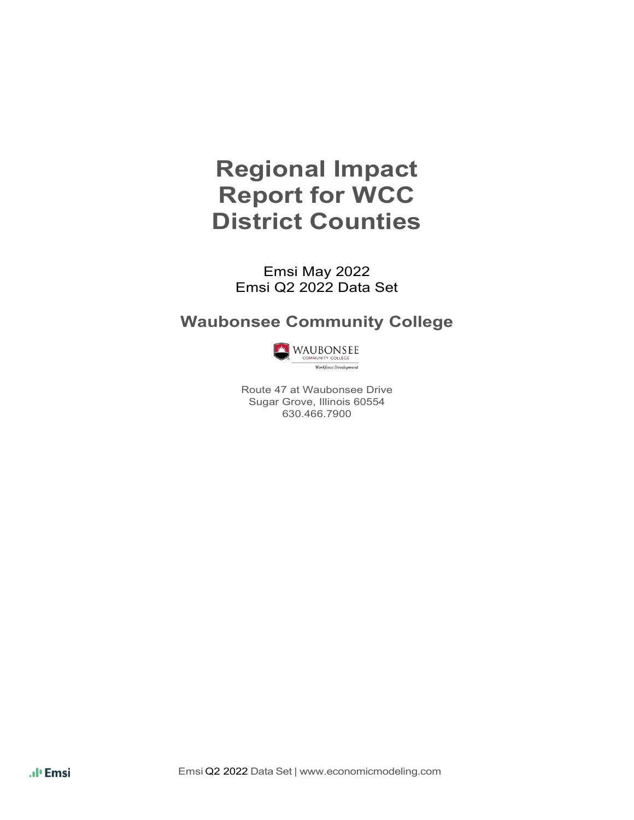# **Regional Impact Report for WCC District Counties**

Emsi May 2022 Emsi Q2 2022 Data Set

## **Waubonsee Community College**



Route 47 at Waubonsee Drive Sugar Grove, Illinois 60554 630.466.7900

.ıl<sup>ı</sup> Emsi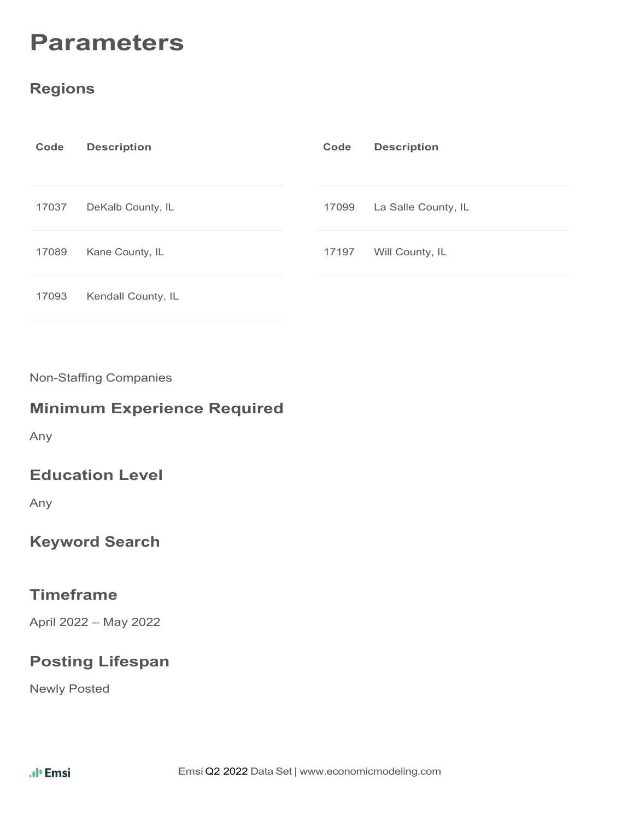# **Parameters**

#### **Regions**

| Code  | <b>Description</b> | Code  | <b>Description</b>  |
|-------|--------------------|-------|---------------------|
| 17037 | DeKalb County, IL  | 17099 | La Salle County, IL |
| 17089 | Kane County, IL    | 17197 | Will County, IL     |
| 17093 | Kendall County, IL |       |                     |

Non-Staffing Companies

#### **Minimum Experience Required**

Any

#### **Education Level**

Any

#### **Keyword Search**

#### **Timeframe**

April 2022 – May 2022

#### **Posting Lifespan**

Newly Posted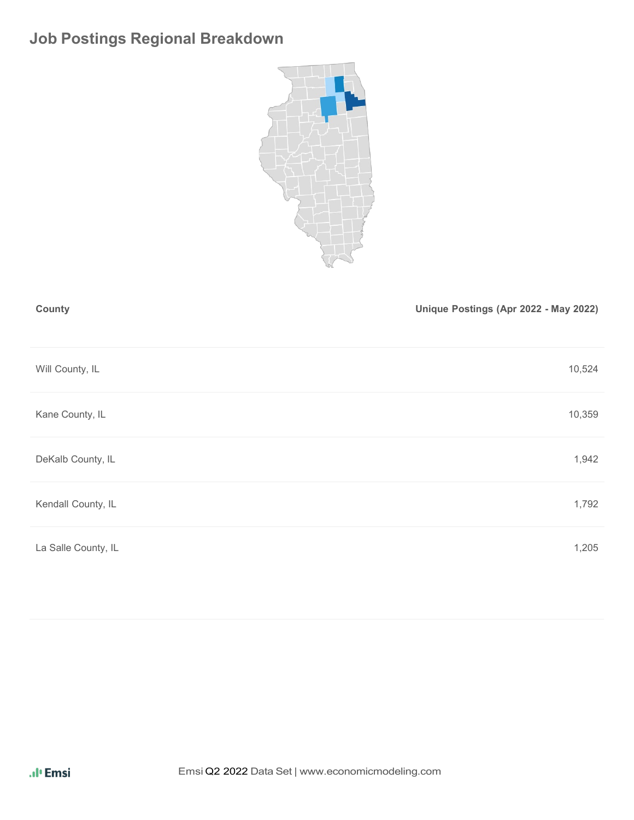# **Job Postings Regional Breakdown**



| County             | Unique Postings (Apr 2022 - May 2022) |
|--------------------|---------------------------------------|
| Will County, IL    | 10,524                                |
| Kane County, IL    | 10,359                                |
| DeKalb County, IL  | 1,942                                 |
| Kendall County, IL | 1,792                                 |
|                    |                                       |

La Salle County, IL 205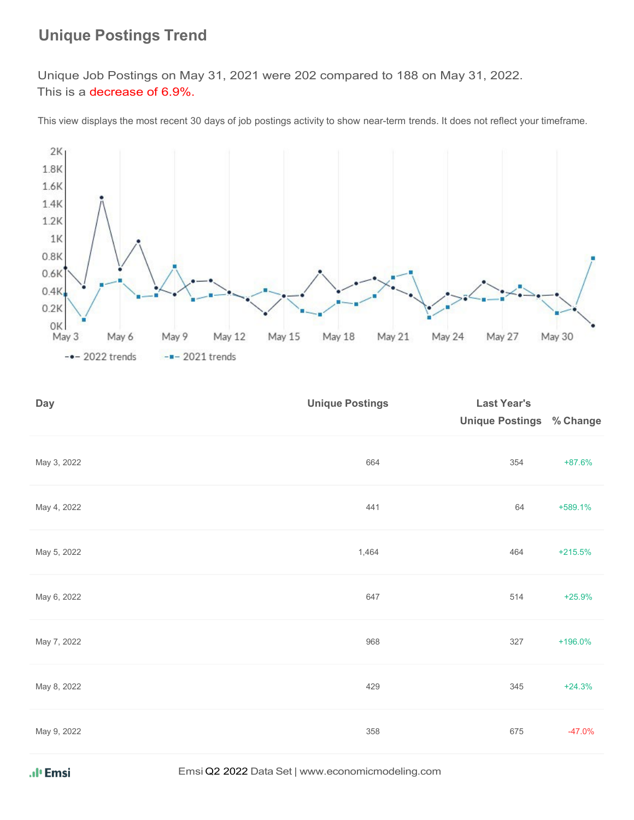## **Unique Postings Trend**

 Unique Job Postings on May 31, 2021 were 202 compared to 188 on May 31, 2022. This is a decrease of 6.9%.

This view displays the most recent 30 days of job postings activity to show near-term trends. It does not reflect your timeframe.



| <b>Day</b>  | <b>Unique Postings</b> | <b>Last Year's</b><br><b>Unique Postings</b> | % Change  |
|-------------|------------------------|----------------------------------------------|-----------|
| May 3, 2022 | 664                    | 354                                          | $+87.6%$  |
| May 4, 2022 | 441                    | 64                                           | +589.1%   |
| May 5, 2022 | 1,464                  | 464                                          | $+215.5%$ |
| May 6, 2022 | 647                    | 514                                          | $+25.9%$  |
| May 7, 2022 | 968                    | 327                                          | +196.0%   |
| May 8, 2022 | 429                    | 345                                          | $+24.3%$  |
| May 9, 2022 | 358                    | 675                                          | $-47.0%$  |

Emsi Q2 2022 Data Set | [www.economicmodeling.com](http://www.economicmodeling.com/)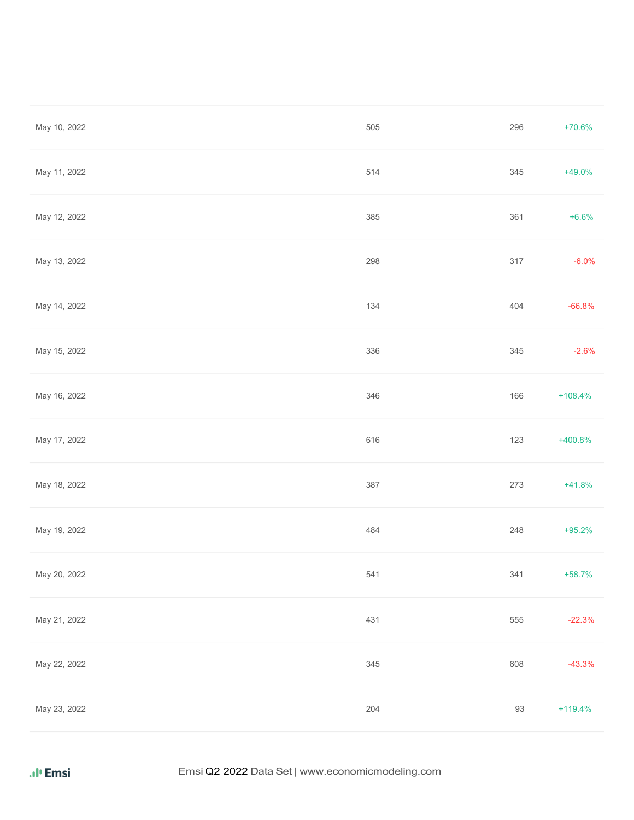| May 10, 2022 | 505 | 296    | $+70.6%$  |
|--------------|-----|--------|-----------|
| May 11, 2022 | 514 | 345    | $+49.0%$  |
| May 12, 2022 | 385 | 361    | $+6.6%$   |
| May 13, 2022 | 298 | 317    | $-6.0%$   |
| May 14, 2022 | 134 | 404    | $-66.8%$  |
| May 15, 2022 | 336 | 345    | $-2.6%$   |
| May 16, 2022 | 346 | 166    | $+108.4%$ |
| May 17, 2022 | 616 | 123    | $+400.8%$ |
| May 18, 2022 | 387 | 273    | $+41.8%$  |
| May 19, 2022 | 484 | 248    | $+95.2%$  |
| May 20, 2022 | 541 | 341    | $+58.7%$  |
| May 21, 2022 | 431 | 555    | $-22.3%$  |
| May 22, 2022 | 345 | 608    | $-43.3%$  |
| May 23, 2022 | 204 | $93\,$ | $+119.4%$ |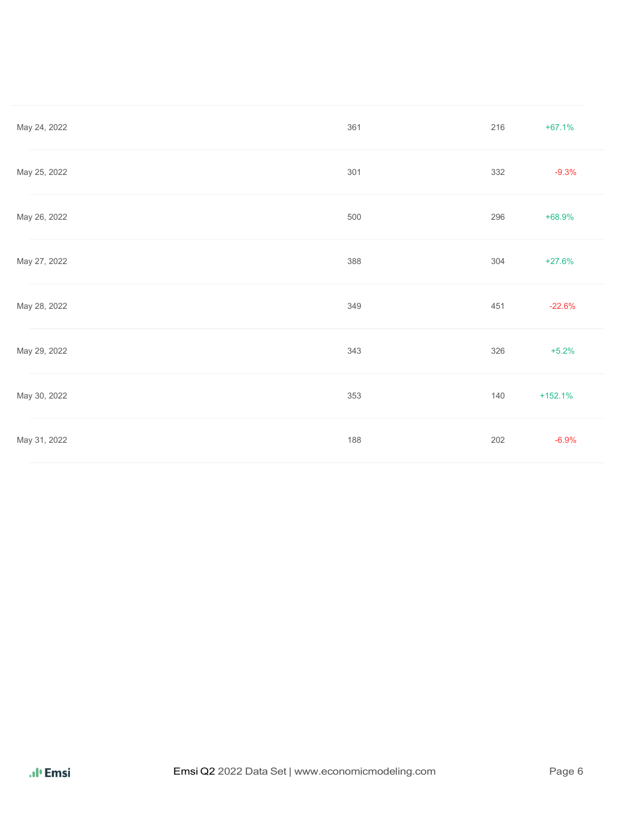| May 24, 2022 | 361 | 216 | $+67.1%$  |
|--------------|-----|-----|-----------|
| May 25, 2022 | 301 | 332 | $-9.3%$   |
| May 26, 2022 | 500 | 296 | +68.9%    |
| May 27, 2022 | 388 | 304 | $+27.6%$  |
| May 28, 2022 | 349 | 451 | $-22.6%$  |
| May 29, 2022 | 343 | 326 | $+5.2%$   |
| May 30, 2022 | 353 | 140 | $+152.1%$ |
| May 31, 2022 | 188 | 202 | $-6.9%$   |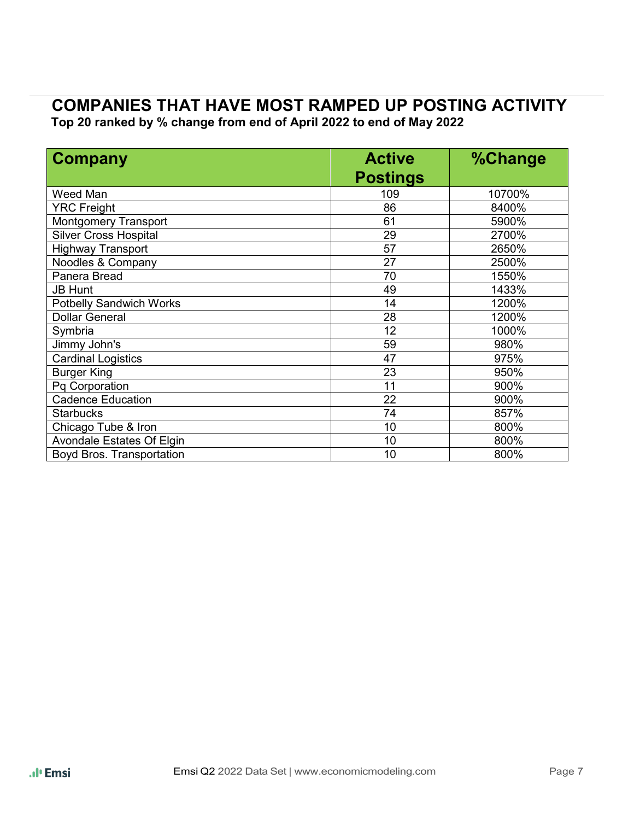# **COMPANIES THAT HAVE MOST RAMPED UP POSTING ACTIVITY**

**Top 20 ranked by % change from end of April 2022 to end of May 2022**

| <b>Company</b>                   | <b>Active</b>   | %Change |  |
|----------------------------------|-----------------|---------|--|
|                                  | <b>Postings</b> |         |  |
| Weed Man                         | 109             | 10700%  |  |
| <b>YRC Freight</b>               | 86              | 8400%   |  |
| <b>Montgomery Transport</b>      | 61              | 5900%   |  |
| <b>Silver Cross Hospital</b>     | 29              | 2700%   |  |
| <b>Highway Transport</b>         | 57              | 2650%   |  |
| Noodles & Company                | 27              | 2500%   |  |
| Panera Bread                     | 70              | 1550%   |  |
| <b>JB Hunt</b>                   | 49              | 1433%   |  |
| <b>Potbelly Sandwich Works</b>   | 14              | 1200%   |  |
| <b>Dollar General</b>            | 28              | 1200%   |  |
| Symbria                          | 12              | 1000%   |  |
| Jimmy John's                     | 59              | 980%    |  |
| <b>Cardinal Logistics</b>        | 47              | 975%    |  |
| <b>Burger King</b>               | 23              | 950%    |  |
| Pq Corporation                   | 11              | 900%    |  |
| <b>Cadence Education</b>         | 22              | 900%    |  |
| <b>Starbucks</b>                 | 74              | 857%    |  |
| Chicago Tube & Iron              | 10              | 800%    |  |
| <b>Avondale Estates Of Elgin</b> | 10              | 800%    |  |
| Boyd Bros. Transportation        | 10              | 800%    |  |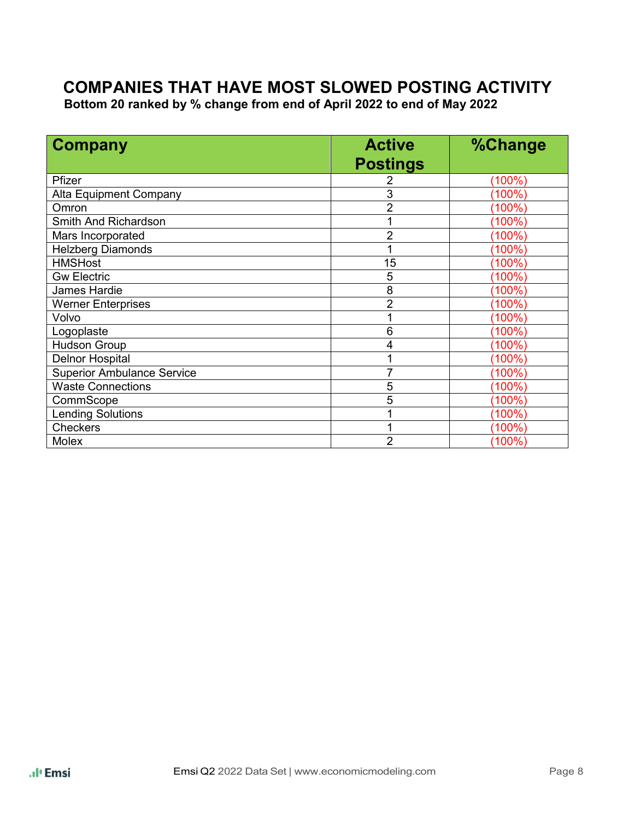# **COMPANIES THAT HAVE MOST SLOWED POSTING ACTIVITY Bottom 20 ranked by % change from end of April 2022 to end of May <sup>2022</sup>**

| <b>Company</b>                    | <b>Active</b>   | <b>%Change</b> |  |  |
|-----------------------------------|-----------------|----------------|--|--|
|                                   | <b>Postings</b> |                |  |  |
| Pfizer                            |                 | (100%)         |  |  |
| Alta Equipment Company            | 3               | $(100\%)$      |  |  |
| Omron                             | $\overline{2}$  | (100%)         |  |  |
| Smith And Richardson              |                 | (100%)         |  |  |
| Mars Incorporated                 | $\overline{2}$  | (100%)         |  |  |
| <b>Helzberg Diamonds</b>          |                 | (100%)         |  |  |
| <b>HMSHost</b>                    | 15              | (100%)         |  |  |
| <b>Gw Electric</b>                | 5               | (100%)         |  |  |
| James Hardie                      | 8               | $(100\%)$      |  |  |
| <b>Werner Enterprises</b>         | $\overline{2}$  | $(100\%)$      |  |  |
| Volvo                             |                 | $(100\%)$      |  |  |
| Logoplaste                        | 6               | $(100\%)$      |  |  |
| <b>Hudson Group</b>               | 4               | $(100\%)$      |  |  |
| <b>Delnor Hospital</b>            |                 | (100%)         |  |  |
| <b>Superior Ambulance Service</b> |                 | $(100\%)$      |  |  |
| <b>Waste Connections</b>          | 5               | (100%)         |  |  |
| CommScope                         | 5               | (100%)         |  |  |
| <b>Lending Solutions</b>          |                 | $(100\%)$      |  |  |
| <b>Checkers</b>                   |                 | (100%)         |  |  |
| Molex                             | $\overline{2}$  | (100%)         |  |  |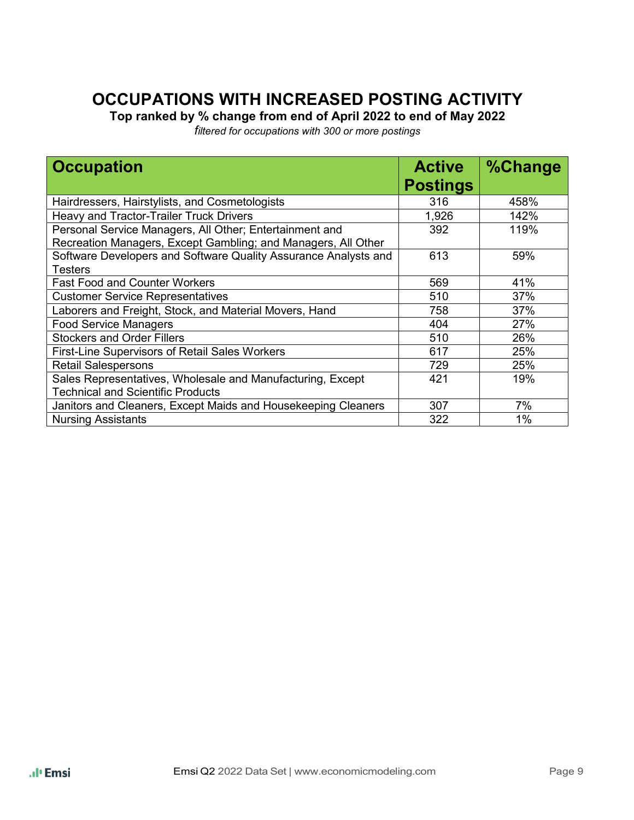# **OCCUPATIONS WITH INCREASED POSTING ACTIVITY**

**Top ranked by % change from end of April 2022 to end of May 2022** 

*filtered for occupations with 300 or more postings*

| <b>Occupation</b>                                               | <b>Active</b><br><b>Postings</b> | %Change |
|-----------------------------------------------------------------|----------------------------------|---------|
| Hairdressers, Hairstylists, and Cosmetologists                  | 316                              | 458%    |
| Heavy and Tractor-Trailer Truck Drivers                         | 1,926                            | 142%    |
| Personal Service Managers, All Other; Entertainment and         | 392                              | 119%    |
| Recreation Managers, Except Gambling; and Managers, All Other   |                                  |         |
| Software Developers and Software Quality Assurance Analysts and | 613                              | 59%     |
| <b>Testers</b>                                                  |                                  |         |
| <b>Fast Food and Counter Workers</b>                            | 569                              | 41%     |
| <b>Customer Service Representatives</b>                         | 510                              | 37%     |
| Laborers and Freight, Stock, and Material Movers, Hand          | 758                              | 37%     |
| <b>Food Service Managers</b>                                    | 404                              | 27%     |
| <b>Stockers and Order Fillers</b>                               | 510                              | 26%     |
| <b>First-Line Supervisors of Retail Sales Workers</b>           | 617                              | 25%     |
| <b>Retail Salespersons</b>                                      | 729                              | 25%     |
| Sales Representatives, Wholesale and Manufacturing, Except      | 421                              | 19%     |
| <b>Technical and Scientific Products</b>                        |                                  |         |
| Janitors and Cleaners, Except Maids and Housekeeping Cleaners   | 307                              | 7%      |
| <b>Nursing Assistants</b>                                       | 322                              | 1%      |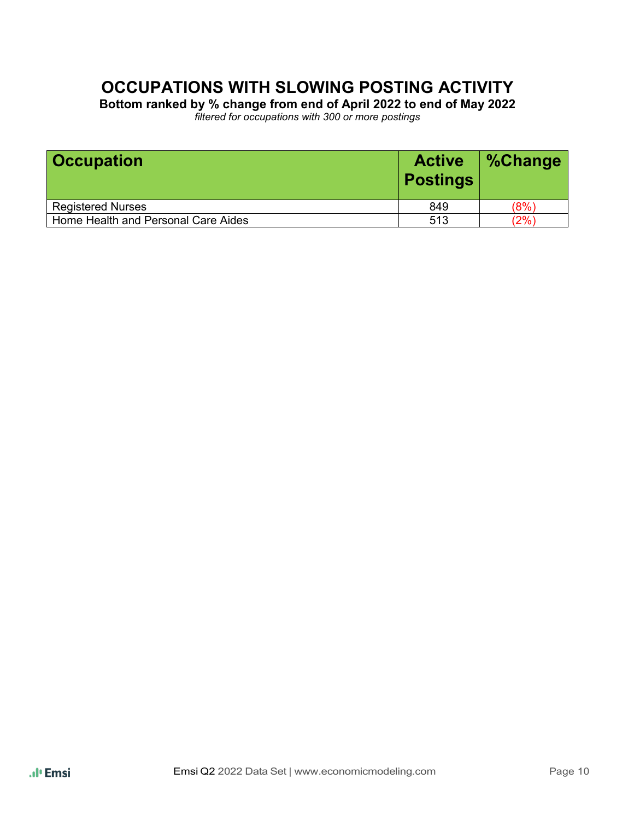# **OCCUPATIONS WITH SLOWING POSTING ACTIVITY**

**Bottom ranked by % change from end of April 2022 to end of May 2022** *filtered for occupations with 300 or more postings*

| <b>Occupation</b>                   | <b>Active</b><br><b>Postings</b> | <b>%Change</b> |
|-------------------------------------|----------------------------------|----------------|
| <b>Registered Nurses</b>            | 849                              | (8%)           |
| Home Health and Personal Care Aides | 513                              | $'2\%)$        |